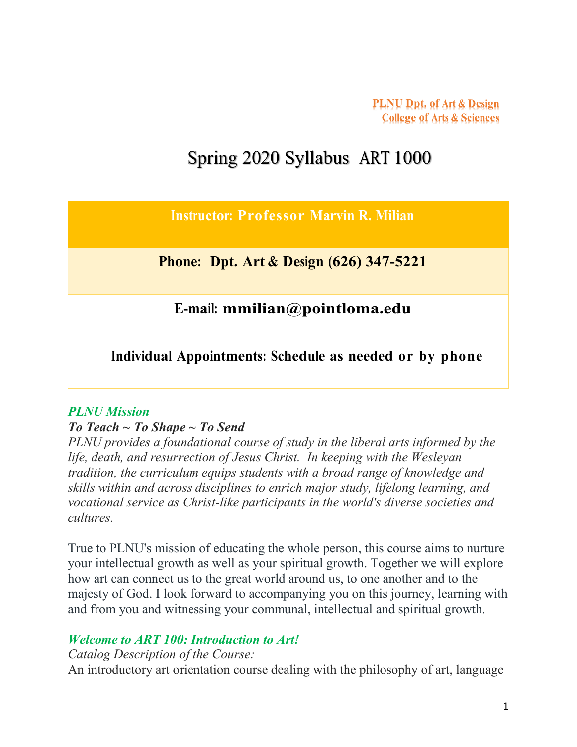**PLNU Dpt.** of Art & Design **College of Arts & Sciences** 

# Spring 2020 Syllabus ART 1000

**Instructor: Professor Marvin R. Milian**

**Phone: Dpt. Art & Design (626) 347-5221**

**E-mail: mmilian@pointloma.edu**

**Individual Appointments: Schedule as needed or by phone**

#### *PLNU Mission*

#### *To Teach ~ To Shape ~ To Send*

*PLNU provides a foundational course of study in the liberal arts informed by the life, death, and resurrection of Jesus Christ. In keeping with the Wesleyan tradition, the curriculum equips students with a broad range of knowledge and skills within and across disciplines to enrich major study, lifelong learning, and vocational service as Christ-like participants in the world's diverse societies and cultures.*

True to PLNU's mission of educating the whole person, this course aims to nurture your intellectual growth as well as your spiritual growth. Together we will explore how art can connect us to the great world around us, to one another and to the majesty of God. I look forward to accompanying you on this journey, learning with and from you and witnessing your communal, intellectual and spiritual growth.

### *Welcome to ART 100: Introduction to Art!*

*Catalog Description of the Course:* An introductory art orientation course dealing with the philosophy of art, language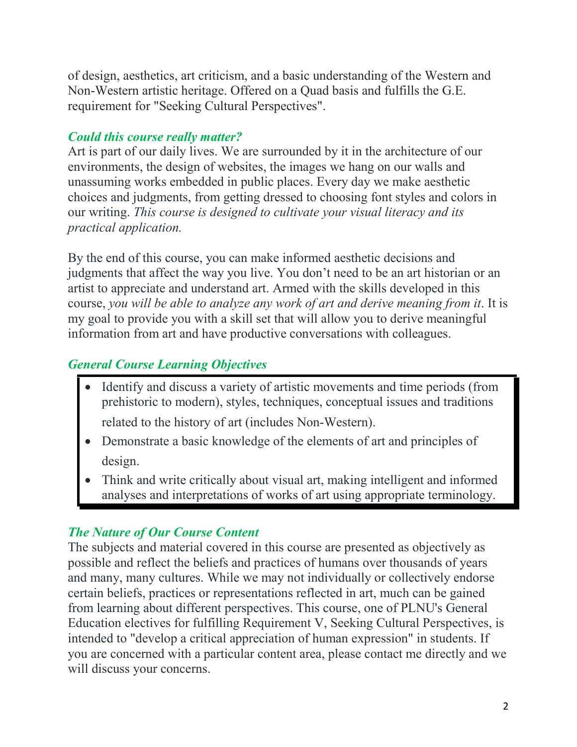of design, aesthetics, art criticism, and a basic understanding of the Western and Non-Western artistic heritage. Offered on a Quad basis and fulfills the G.E. requirement for "Seeking Cultural Perspectives".

# *Could this course really matter?*

Art is part of our daily lives. We are surrounded by it in the architecture of our environments, the design of websites, the images we hang on our walls and unassuming works embedded in public places. Every day we make aesthetic choices and judgments, from getting dressed to choosing font styles and colors in our writing. *This course is designed to cultivate your visual literacy and its practical application.*

By the end of this course, you can make informed aesthetic decisions and judgments that affect the way you live. You don't need to be an art historian or an artist to appreciate and understand art. Armed with the skills developed in this course, *you will be able to analyze any work of art and derive meaning from it*. It is my goal to provide you with a skill set that will allow you to derive meaningful information from art and have productive conversations with colleagues.

# *General Course Learning Objectives*

• Identify and discuss a variety of artistic movements and time periods (from prehistoric to modern), styles, techniques, conceptual issues and traditions

related to the history of art (includes Non-Western).

- Demonstrate a basic knowledge of the elements of art and principles of design.
- Think and write critically about visual art, making intelligent and informed analyses and interpretations of works of art using appropriate terminology.

# *The Nature of Our Course Content*

The subjects and material covered in this course are presented as objectively as possible and reflect the beliefs and practices of humans over thousands of years and many, many cultures. While we may not individually or collectively endorse certain beliefs, practices or representations reflected in art, much can be gained from learning about different perspectives. This course, one of PLNU's General Education electives for fulfilling Requirement V, Seeking Cultural Perspectives, is intended to "develop a critical appreciation of human expression" in students. If you are concerned with a particular content area, please contact me directly and we will discuss your concerns.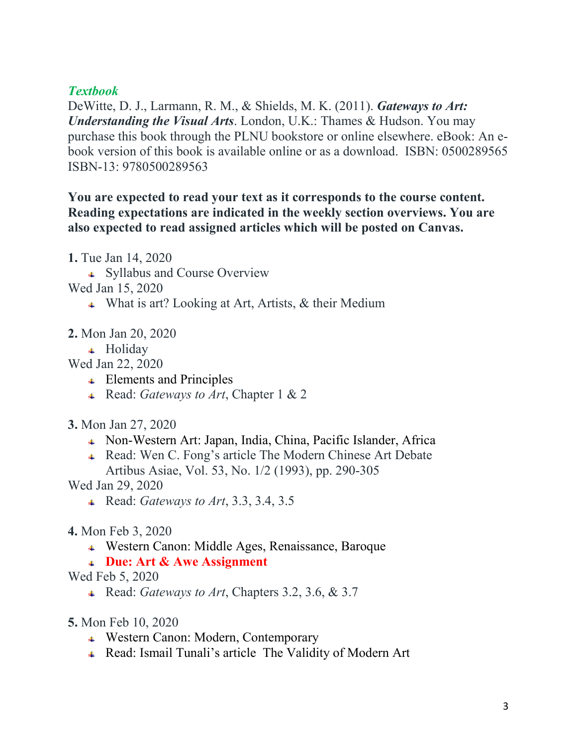### *Textbook*

DeWitte, D. J., Larmann, R. M., & Shields, M. K. (2011). *Gateways to Art: Understanding the Visual Arts*. London, U.K.: Thames & Hudson. You may purchase this book through the PLNU bookstore or online elsewhere. eBook: An ebook version of this book is available online or as a download. ISBN: 0500289565 ISBN-13: 9780500289563

### **You are expected to read your text as it corresponds to the course content. Reading expectations are indicated in the weekly section overviews. You are also expected to read assigned articles which will be posted on Canvas.**

**1.** Tue Jan 14, 2020

- Syllabus and Course Overview
- Wed Jan 15, 2020
	- What is art? Looking at Art, Artists, & their Medium
- **2.** Mon Jan 20, 2020
	- + Holiday

Wed Jan 22, 2020

- **↓** Elements and Principles
- Read: *Gateways to Art*, Chapter 1 & 2

### **3.** Mon Jan 27, 2020

- Non-Western Art: Japan, India, China, Pacific Islander, Africa
- Read: Wen C. Fong's article The Modern Chinese Art Debate Artibus Asiae, Vol. 53, No. 1/2 (1993), pp. 290-305

Wed Jan 29, 2020

- Read: *Gateways to Art*, 3.3, 3.4, 3.5
- **4.** Mon Feb 3, 2020
	- Western Canon: Middle Ages, Renaissance, Baroque
	- **Due: Art & Awe Assignment**

Wed Feb 5, 2020

- Read: *Gateways to Art*, Chapters 3.2, 3.6, & 3.7
- **5.** Mon Feb 10, 2020
	- Western Canon: Modern, Contemporary
	- Read: Ismail Tunali's article The Validity of Modern Art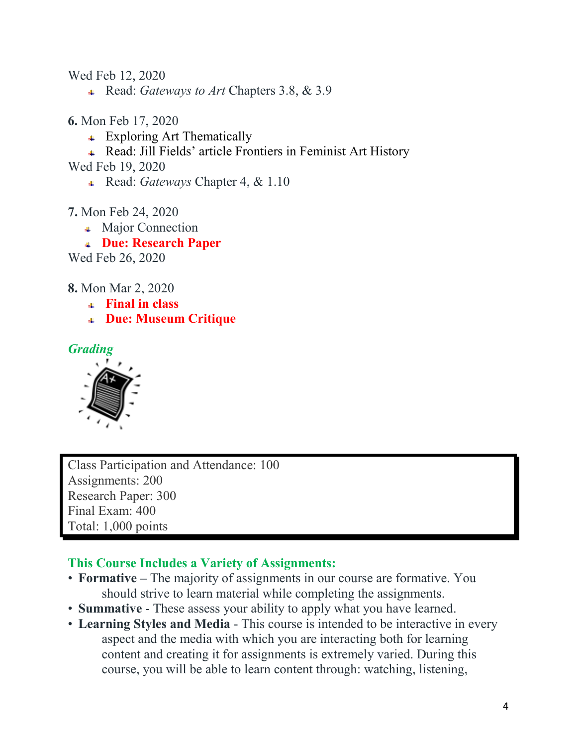Wed Feb 12, 2020

- Read: *Gateways to Art* Chapters 3.8, & 3.9
- **6.** Mon Feb 17, 2020
	- **Exploring Art Thematically**
	- Read: Jill Fields' article Frontiers in Feminist Art History

Wed Feb 19, 2020

- Read: *Gateways* Chapter 4, & 1.10
- **7.** Mon Feb 24, 2020
	- Major Connection
	- **Due: Research Paper**

Wed Feb 26, 2020

- **8.** Mon Mar 2, 2020
	- **Final in class**
	- **Due: Museum Critique**

#### *Grading*



Class Participation and Attendance: 100 Assignments: 200 Research Paper: 300 Final Exam: 400 Total: 1,000 points

#### **This Course Includes a Variety of Assignments:**

- **Formative –** The majority of assignments in our course are formative. You should strive to learn material while completing the assignments.
- **Summative** These assess your ability to apply what you have learned.
- **Learning Styles and Media**  This course is intended to be interactive in every aspect and the media with which you are interacting both for learning content and creating it for assignments is extremely varied. During this course, you will be able to learn content through: watching, listening,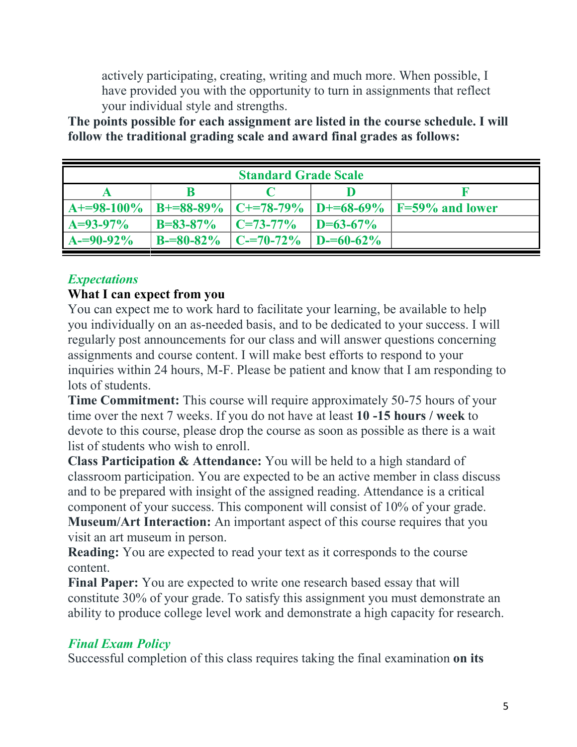actively participating, creating, writing and much more. When possible, I have provided you with the opportunity to turn in assignments that reflect your individual style and strengths.

**The points possible for each assignment are listed in the course schedule. I will follow the traditional grading scale and award final grades as follows:**

| <b>Standard Grade Scale</b> |                 |                    |                   |                                                     |
|-----------------------------|-----------------|--------------------|-------------------|-----------------------------------------------------|
|                             |                 |                    |                   |                                                     |
| $A+=98-100\%$               |                 |                    |                   | B+=88-89%   C+=78-79%   D+=68-69%   F=59% and lower |
| $A=93-97\%$                 | $B = 83 - 87\%$ | $\Gamma$ C=73-77%  | $D=63-67\%$       |                                                     |
| $A = 90 - 92\%$             | $B = 80 - 82\%$ | $\Gamma$ C-=70-72% | $1 D = 60 - 62\%$ |                                                     |

# *Expectations*

#### **What I can expect from you**

You can expect me to work hard to facilitate your learning, be available to help you individually on an as-needed basis, and to be dedicated to your success. I will regularly post announcements for our class and will answer questions concerning assignments and course content. I will make best efforts to respond to your inquiries within 24 hours, M-F. Please be patient and know that I am responding to lots of students.

**Time Commitment:** This course will require approximately 50-75 hours of your time over the next 7 weeks. If you do not have at least **10 -15 hours / week** to devote to this course, please drop the course as soon as possible as there is a wait list of students who wish to enroll.

**Class Participation & Attendance:** You will be held to a high standard of classroom participation. You are expected to be an active member in class discuss and to be prepared with insight of the assigned reading. Attendance is a critical component of your success. This component will consist of 10% of your grade. **Museum/Art Interaction:** An important aspect of this course requires that you visit an art museum in person.

**Reading:** You are expected to read your text as it corresponds to the course content.

**Final Paper:** You are expected to write one research based essay that will constitute 30% of your grade. To satisfy this assignment you must demonstrate an ability to produce college level work and demonstrate a high capacity for research.

### *Final Exam Policy*

Successful completion of this class requires taking the final examination **on its**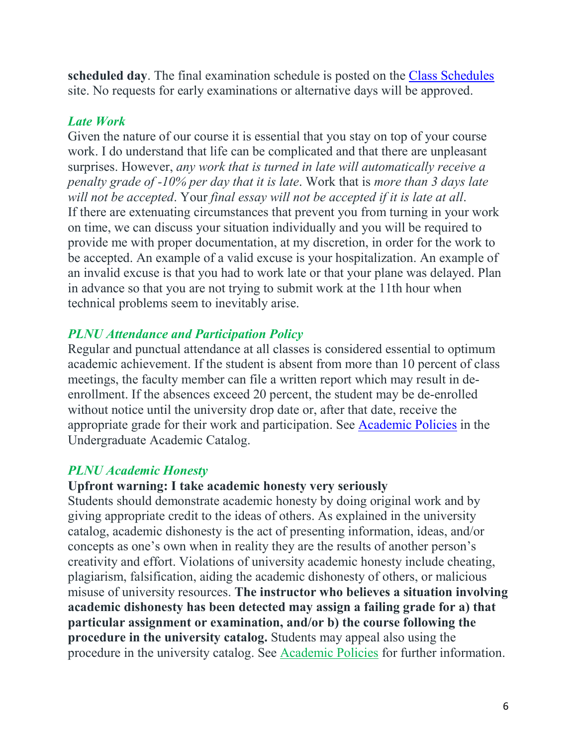**scheduled day**. The final examination schedule is posted on the [Class Schedules](http://www.pointloma.edu/experience/academics/class-schedules) site. No requests for early examinations or alternative days will be approved.

### *Late Work*

Given the nature of our course it is essential that you stay on top of your course work. I do understand that life can be complicated and that there are unpleasant surprises. However, *any work that is turned in late will automatically receive a penalty grade of -10% per day that it is late*. Work that is *more than 3 days late will not be accepted*. Your *final essay will not be accepted if it is late at all*. If there are extenuating circumstances that prevent you from turning in your work on time, we can discuss your situation individually and you will be required to provide me with proper documentation, at my discretion, in order for the work to be accepted. An example of a valid excuse is your hospitalization. An example of an invalid excuse is that you had to work late or that your plane was delayed. Plan in advance so that you are not trying to submit work at the 11th hour when technical problems seem to inevitably arise.

# *PLNU Attendance and Participation Policy*

Regular and punctual attendance at all classes is considered essential to optimum academic achievement. If the student is absent from more than 10 percent of class meetings, the faculty member can file a written report which may result in deenrollment. If the absences exceed 20 percent, the student may be de-enrolled without notice until the university drop date or, after that date, receive the appropriate grade for their work and participation. See [Academic Policies](http://catalog.pointloma.edu/content.php?catoid=18&navoid=1278) in the Undergraduate Academic Catalog.

# *PLNU Academic Honesty*

### **Upfront warning: I take academic honesty very seriously**

Students should demonstrate academic honesty by doing original work and by giving appropriate credit to the ideas of others. As explained in the university catalog, academic dishonesty is the act of presenting information, ideas, and/or concepts as one's own when in reality they are the results of another person's creativity and effort. Violations of university academic honesty include cheating, plagiarism, falsification, aiding the academic dishonesty of others, or malicious misuse of university resources. **The instructor who believes a situation involving academic dishonesty has been detected may assign a failing grade for a) that particular assignment or examination, and/or b) the course following the procedure in the university catalog.** Students may appeal also using the procedure in the university catalog. See [Academic Policies](https://www.google.com/url?q=http://www.pointloma.edu/experience/academics/catalogs/undergraduate-catalog/point-loma-education/academic-policies&sa=D&ust=1527141812806000) for further information.